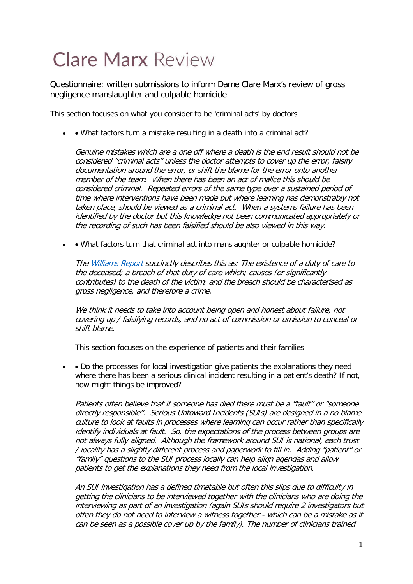## **Clare Marx Review**

Questionnaire: written submissions to inform Dame Clare Marx's review of gross negligence manslaughter and culpable homicide

This section focuses on what you consider to be 'criminal acts' by doctors

• • What factors turn a mistake resulting in a death into a criminal act?

Genuine mistakes which are a one off where a death is the end result should not be considered "criminal acts" unless the doctor attempts to cover up the error, falsify documentation around the error, or shift the blame for the error onto another member of the team. When there has been an act of malice this should be considered criminal. Repeated errors of the same type over a sustained period of time where interventions have been made but where learning has demonstrably not taken place, should be viewed as a criminal act. When a systems failure has been identified by the doctor but this knowledge not been communicated appropriately or the recording of such has been falsified should be also viewed in this way.

• • What factors turn that criminal act into manslaughter or culpable homicide?

Th[e Williams Report](https://www.gov.uk/government/publications/williams-review-into-gross-negligence-manslaughter-in-healthcare) succinctly describes this as: The existence of a duty of care to the deceased; a breach of that duty of care which; causes (or significantly contributes) to the death of the victim; and the breach should be characterised as gross negligence, and therefore a crime.

We think it needs to take into account being open and honest about failure, not covering up / falsifying records, and no act of commission or omission to conceal or shift blame.

This section focuses on the experience of patients and their families

• • Do the processes for local investigation give patients the explanations they need where there has been a serious clinical incident resulting in a patient's death? If not, how might things be improved?

Patients often believe that if someone has died there must be a "fault" or "someone directly responsible". Serious Untoward Incidents (SUIs) are designed in a no blame culture to look at faults in processes where learning can occur rather than specifically identify individuals at fault. So, the expectations of the process between groups are not always fully aligned. Although the framework around SUI is national, each trust / locality has a slightly different process and paperwork to fill in. Adding "patient" or "family" questions to the SUI process locally can help align agendas and allow patients to get the explanations they need from the local investigation.

An SUI investigation has a defined timetable but often this slips due to difficulty in getting the clinicians to be interviewed together with the clinicians who are doing the interviewing as part of an investigation (again SUIs should require 2 investigators but often they do not need to interview a witness together - which can be a mistake as it can be seen as a possible cover up by the family). The number of clinicians trained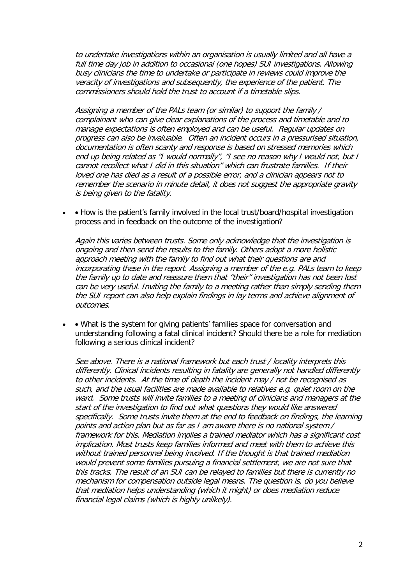to undertake investigations within an organisation is usually limited and all have a full time day job in addition to occasional (one hopes) SUI investigations. Allowing busy clinicians the time to undertake or participate in reviews could improve the veracity of investigations and subsequently, the experience of the patient. The commissioners should hold the trust to account if a timetable slips.

Assigning a member of the PALs team (or similar) to support the family / complainant who can give clear explanations of the process and timetable and to manage expectations is often employed and can be useful. Regular updates on progress can also be invaluable. Often an incident occurs in a pressurised situation, documentation is often scanty and response is based on stressed memories which end up being related as "I would normally", "I see no reason why I would not, but I cannot recollect what I did in this situation" which can frustrate families. If their loved one has died as a result of a possible error, and a clinician appears not to remember the scenario in minute detail, it does not suggest the appropriate gravity is being given to the fatality.

• • How is the patient's family involved in the local trust/board/hospital investigation process and in feedback on the outcome of the investigation?

Again this varies between trusts. Some only acknowledge that the investigation is ongoing and then send the results to the family. Others adopt a more holistic approach meeting with the family to find out what their questions are and incorporating these in the report. Assigning a member of the e.g. PALs team to keep the family up to date and reassure them that "their" investigation has not been lost can be very useful. Inviting the family to a meeting rather than simply sending them the SUI report can also help explain findings in lay terms and achieve alignment of outcomes.

• • What is the system for giving patients' families space for conversation and understanding following a fatal clinical incident? Should there be a role for mediation following a serious clinical incident?

See above. There is a national framework but each trust / locality interprets this differently. Clinical incidents resulting in fatality are generally not handled differently to other incidents. At the time of death the incident may / not be recognised as such, and the usual facilities are made available to relatives e.g. quiet room on the ward. Some trusts will invite families to a meeting of clinicians and managers at the start of the investigation to find out what questions they would like answered specifically. Some trusts invite them at the end to feedback on findings, the learning points and action plan but as far as I am aware there is no national system / framework for this. Mediation implies a trained mediator which has a significant cost implication. Most trusts keep families informed and meet with them to achieve this without trained personnel being involved. If the thought is that trained mediation would prevent some families pursuing a financial settlement, we are not sure that this tracks. The result of an SUI can be relayed to families but there is currently no mechanism for compensation outside legal means. The question is, do you believe that mediation helps understanding (which it might) or does mediation reduce financial legal claims (which is highly unlikely).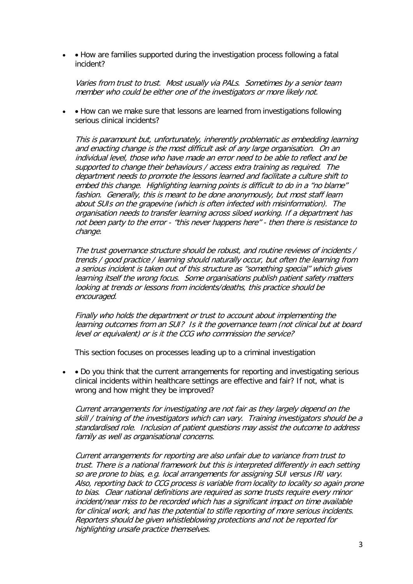• How are families supported during the investigation process following a fatal incident?

Varies from trust to trust. Most usually via PALs. Sometimes by a senior team member who could be either one of the investigators or more likely not.

• • How can we make sure that lessons are learned from investigations following serious clinical incidents?

This is paramount but, unfortunately, inherently problematic as embedding learning and enacting change is the most difficult ask of any large organisation. On an individual level, those who have made an error need to be able to reflect and be supported to change their behaviours / access extra training as required. The department needs to promote the lessons learned and facilitate a culture shift to embed this change. Highlighting learning points is difficult to do in a "no blame" fashion. Generally, this is meant to be done anonymously, but most staff learn about SUIs on the grapevine (which is often infected with misinformation). The organisation needs to transfer learning across siloed working. If a department has not been party to the error - "this never happens here" - then there is resistance to change.

The trust governance structure should be robust, and routine reviews of incidents / trends / good practice / learning should naturally occur, but often the learning from a serious incident is taken out of this structure as "something special" which gives learning itself the wrong focus. Some organisations publish patient safety matters looking at trends or lessons from incidents/deaths, this practice should be encouraged.

Finally who holds the department or trust to account about implementing the learning outcomes from an SUI? Is it the governance team (not clinical but at board level or equivalent) or is it the CCG who commission the service?

This section focuses on processes leading up to a criminal investigation

• • Do you think that the current arrangements for reporting and investigating serious clinical incidents within healthcare settings are effective and fair? If not, what is wrong and how might they be improved?

Current arrangements for investigating are not fair as they largely depend on the skill / training of the investigators which can vary. Training investigators should be a standardised role. Inclusion of patient questions may assist the outcome to address family as well as organisational concerns.

Current arrangements for reporting are also unfair due to variance from trust to trust. There is a national framework but this is interpreted differently in each setting so are prone to bias, e.g. local arrangements for assigning SUI versus IRI vary. Also, reporting back to CCG process is variable from locality to locality so again prone to bias. Clear national definitions are required as some trusts require every minor incident/near miss to be recorded which has a significant impact on time available for clinical work, and has the potential to stifle reporting of more serious incidents. Reporters should be given whistleblowing protections and not be reported for highlighting unsafe practice themselves.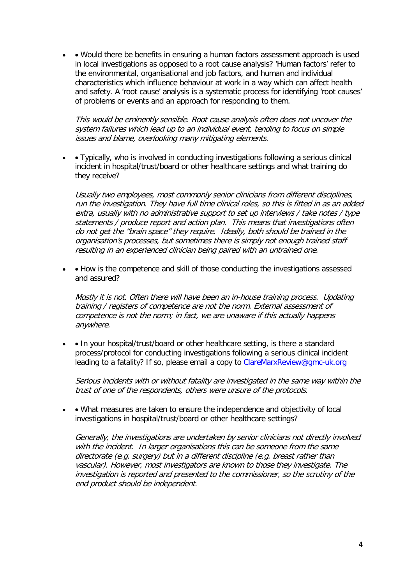• • Would there be benefits in ensuring a human factors assessment approach is used in local investigations as opposed to a root cause analysis? 'Human factors' refer to the environmental, organisational and job factors, and human and individual characteristics which influence behaviour at work in a way which can affect health and safety. A 'root cause' analysis is a systematic process for identifying 'root causes' of problems or events and an approach for responding to them.

This would be eminently sensible. Root cause analysis often does not uncover the system failures which lead up to an individual event, tending to focus on simple issues and blame, overlooking many mitigating elements.

• • Typically, who is involved in conducting investigations following a serious clinical incident in hospital/trust/board or other healthcare settings and what training do they receive?

Usually two employees, most commonly senior clinicians from different disciplines, run the investigation. They have full time clinical roles, so this is fitted in as an added extra, usually with no administrative support to set up interviews / take notes / type statements / produce report and action plan. This means that investigations often do not get the "brain space" they require. Ideally, both should be trained in the organisation's processes, but sometimes there is simply not enough trained staff resulting in an experienced clinician being paired with an untrained one.

• • How is the competence and skill of those conducting the investigations assessed and assured?

Mostly it is not. Often there will have been an in-house training process. Updating training / registers of competence are not the norm. External assessment of competence is not the norm; in fact, we are unaware if this actually happens anywhere.

• • In your hospital/trust/board or other healthcare setting, is there a standard process/protocol for conducting investigations following a serious clinical incident leading to a fatality? If so, please email a copy to ClareMarxReview@gmc-uk.org

Serious incidents with or without fatality are investigated in the same way within the trust of one of the respondents, others were unsure of the protocols.

• • What measures are taken to ensure the independence and objectivity of local investigations in hospital/trust/board or other healthcare settings?

Generally, the investigations are undertaken by senior clinicians not directly involved with the incident. In larger organisations this can be someone from the same directorate (e.g. surgery) but in a different discipline (e.g. breast rather than vascular). However, most investigators are known to those they investigate. The investigation is reported and presented to the commissioner, so the scrutiny of the end product should be independent.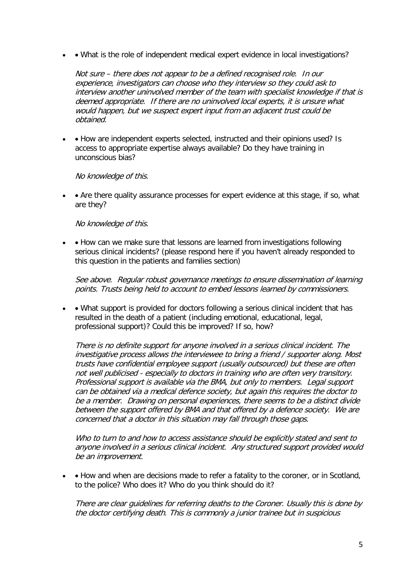• • What is the role of independent medical expert evidence in local investigations?

Not sure – there does not appear to be a defined recognised role. In our experience, investigators can choose who they interview so they could ask to interview another uninvolved member of the team with specialist knowledge if that is deemed appropriate. If there are no uninvolved local experts, it is unsure what would happen, but we suspect expert input from an adjacent trust could be obtained.

• • How are independent experts selected, instructed and their opinions used? Is access to appropriate expertise always available? Do they have training in unconscious bias?

No knowledge of this.

• • Are there quality assurance processes for expert evidence at this stage, if so, what are they?

No knowledge of this.

• • How can we make sure that lessons are learned from investigations following serious clinical incidents? (please respond here if you haven't already responded to this question in the patients and families section)

See above. Regular robust governance meetings to ensure dissemination of learning points. Trusts being held to account to embed lessons learned by commissioners.

• • What support is provided for doctors following a serious clinical incident that has resulted in the death of a patient (including emotional, educational, legal, professional support)? Could this be improved? If so, how?

There is no definite support for anyone involved in a serious clinical incident. The investigative process allows the interviewee to bring a friend / supporter along. Most trusts have confidential employee support (usually outsourced) but these are often not well publicised - especially to doctors in training who are often very transitory. Professional support is available via the BMA, but only to members. Legal support can be obtained via a medical defence society, but again this requires the doctor to be a member. Drawing on personal experiences, there seems to be a distinct divide between the support offered by BMA and that offered by a defence society. We are concerned that a doctor in this situation may fall through those gaps.

Who to turn to and how to access assistance should be explicitly stated and sent to anyone involved in a serious clinical incident. Any structured support provided would be an improvement.

• • How and when are decisions made to refer a fatality to the coroner, or in Scotland, to the police? Who does it? Who do you think should do it?

There are clear guidelines for referring deaths to the Coroner. Usually this is done by the doctor certifying death. This is commonly a junior trainee but in suspicious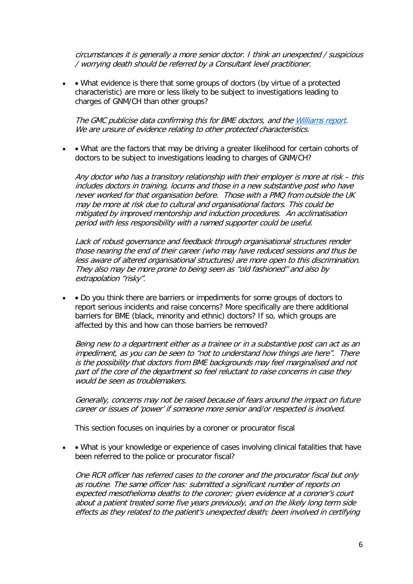circumstances it is generally a more senior doctor. I think an unexpected / suspicious / worrying death should be referred by a Consultant level practitioner.

• • What evidence is there that some groups of doctors (by virtue of a protected characteristic) are more or less likely to be subject to investigations leading to charges of GNM/CH than other groups?

The GMC publicise data confirming this for BME doctors, and th[e Williams report.](https://www.gov.uk/government/publications/williams-review-into-gross-negligence-manslaughter-in-healthcare) We are unsure of evidence relating to other protected characteristics.

• • What are the factors that may be driving a greater likelihood for certain cohorts of doctors to be subject to investigations leading to charges of GNM/CH?

Any doctor who has a transitory relationship with their employer is more at risk – this includes doctors in training, locums and those in a new substantive post who have never worked for that organisation before. Those with a PMQ from outside the UK may be more at risk due to cultural and organisational factors. This could be mitigated by improved mentorship and induction procedures. An acclimatisation period with less responsibility with a named supporter could be useful.

Lack of robust governance and feedback through organisational structures render those nearing the end of their career (who may have reduced sessions and thus be less aware of altered organisational structures) are more open to this discrimination. They also may be more prone to being seen as "old fashioned" and also by extrapolation "risky".

• • Do you think there are barriers or impediments for some groups of doctors to report serious incidents and raise concerns? More specifically are there additional barriers for BME (black, minority and ethnic) doctors? If so, which groups are affected by this and how can those barriers be removed?

Being new to a department either as a trainee or in a substantive post can act as an impediment, as you can be seen to "not to understand how things are here". There is the possibility that doctors from BME backgrounds may feel marginalised and not part of the core of the department so feel reluctant to raise concerns in case they would be seen as troublemakers.

Generally, concerns may not be raised because of fears around the impact on future career or issues of 'power' if someone more senior and/or respected is involved.

This section focuses on inquiries by a coroner or procurator fiscal

• • What is your knowledge or experience of cases involving clinical fatalities that have been referred to the police or procurator fiscal?

One RCR officer has referred cases to the coroner and the procurator fiscal but only as routine. The same officer has: submitted a significant number of reports on expected mesothelioma deaths to the coroner; given evidence at a coroner's court about a patient treated some five years previously, and on the likely long term side effects as they related to the patient's unexpected death; been involved in certifying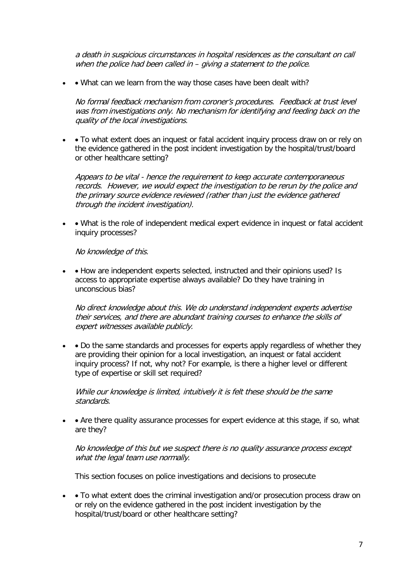a death in suspicious circumstances in hospital residences as the consultant on call when the police had been called in – giving a statement to the police.

• • What can we learn from the way those cases have been dealt with?

No formal feedback mechanism from coroner's procedures. Feedback at trust level was from investigations only. No mechanism for identifying and feeding back on the quality of the local investigations.

• • To what extent does an inquest or fatal accident inquiry process draw on or rely on the evidence gathered in the post incident investigation by the hospital/trust/board or other healthcare setting?

Appears to be vital - hence the requirement to keep accurate contemporaneous records. However, we would expect the investigation to be rerun by the police and the primary source evidence reviewed (rather than just the evidence gathered through the incident investigation).

• • What is the role of independent medical expert evidence in inquest or fatal accident inquiry processes?

No knowledge of this.

• • How are independent experts selected, instructed and their opinions used? Is access to appropriate expertise always available? Do they have training in unconscious bias?

No direct knowledge about this. We do understand independent experts advertise their services, and there are abundant training courses to enhance the skills of expert witnesses available publicly.

• • Do the same standards and processes for experts apply regardless of whether they are providing their opinion for a local investigation, an inquest or fatal accident inquiry process? If not, why not? For example, is there a higher level or different type of expertise or skill set required?

While our knowledge is limited, intuitively it is felt these should be the same standards.

• • Are there quality assurance processes for expert evidence at this stage, if so, what are they?

No knowledge of this but we suspect there is no quality assurance process except what the legal team use normally.

This section focuses on police investigations and decisions to prosecute

• • To what extent does the criminal investigation and/or prosecution process draw on or rely on the evidence gathered in the post incident investigation by the hospital/trust/board or other healthcare setting?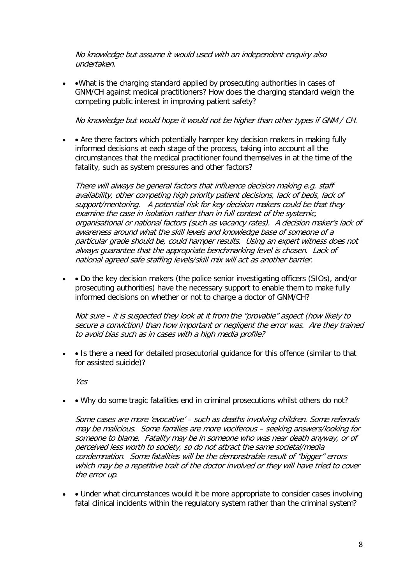No knowledge but assume it would used with an independent enquiry also undertaken.

• • What is the charging standard applied by prosecuting authorities in cases of GNM/CH against medical practitioners? How does the charging standard weigh the competing public interest in improving patient safety?

No knowledge but would hope it would not be higher than other types if GNM / CH.

• • Are there factors which potentially hamper key decision makers in making fully informed decisions at each stage of the process, taking into account all the circumstances that the medical practitioner found themselves in at the time of the fatality, such as system pressures and other factors?

There will always be general factors that influence decision making e.g. staff availability, other competing high priority patient decisions, lack of beds, lack of support/mentoring. A potential risk for key decision makers could be that they examine the case in isolation rather than in full context of the systemic, organisational or national factors (such as vacancy rates). A decision maker's lack of awareness around what the skill levels and knowledge base of someone of a particular grade should be, could hamper results. Using an expert witness does not always guarantee that the appropriate benchmarking level is chosen. Lack of national agreed safe staffing levels/skill mix will act as another barrier.

• • Do the key decision makers (the police senior investigating officers (SIOs), and/or prosecuting authorities) have the necessary support to enable them to make fully informed decisions on whether or not to charge a doctor of GNM/CH?

Not sure – it is suspected they look at it from the "provable" aspect (how likely to secure a conviction) than how important or negligent the error was. Are they trained to avoid bias such as in cases with a high media profile?

• • Is there a need for detailed prosecutorial quidance for this offence (similar to that for assisted suicide)?

Yes

• • Why do some tragic fatalities end in criminal prosecutions whilst others do not?

Some cases are more 'evocative' – such as deaths involving children. Some referrals may be malicious. Some families are more vociferous – seeking answers/looking for someone to blame. Fatality may be in someone who was near death anyway, or of perceived less worth to society, so do not attract the same societal/media condemnation. Some fatalities will be the demonstrable result of "bigger" errors which may be a repetitive trait of the doctor involved or they will have tried to cover the error up.

• • Under what circumstances would it be more appropriate to consider cases involving fatal clinical incidents within the regulatory system rather than the criminal system?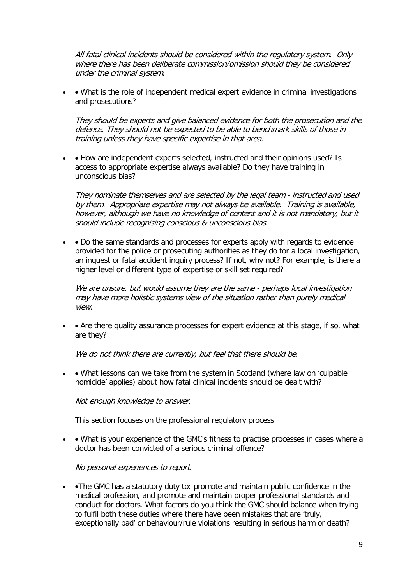All fatal clinical incidents should be considered within the regulatory system. Only where there has been deliberate commission/omission should they be considered under the criminal system.

• • What is the role of independent medical expert evidence in criminal investigations and prosecutions?

They should be experts and give balanced evidence for both the prosecution and the defence. They should not be expected to be able to benchmark skills of those in training unless they have specific expertise in that area.

• • How are independent experts selected, instructed and their opinions used? Is access to appropriate expertise always available? Do they have training in unconscious bias?

They nominate themselves and are selected by the legal team - instructed and used by them. Appropriate expertise may not always be available. Training is available, however, although we have no knowledge of content and it is not mandatory, but it should include recognising conscious & unconscious bias.

• • Do the same standards and processes for experts apply with regards to evidence provided for the police or prosecuting authorities as they do for a local investigation, an inquest or fatal accident inquiry process? If not, why not? For example, is there a higher level or different type of expertise or skill set required?

We are unsure, but would assume they are the same - perhaps local investigation may have more holistic systems view of the situation rather than purely medical view.

• • Are there quality assurance processes for expert evidence at this stage, if so, what are they?

We do not think there are currently, but feel that there should be.

• • What lessons can we take from the system in Scotland (where law on 'culpable homicide' applies) about how fatal clinical incidents should be dealt with?

Not enough knowledge to answer.

This section focuses on the professional regulatory process

• • What is your experience of the GMC's fitness to practise processes in cases where a doctor has been convicted of a serious criminal offence?

No personal experiences to report.

• •The GMC has a statutory duty to: promote and maintain public confidence in the medical profession, and promote and maintain proper professional standards and conduct for doctors. What factors do you think the GMC should balance when trying to fulfil both these duties where there have been mistakes that are 'truly, exceptionally bad' or behaviour/rule violations resulting in serious harm or death?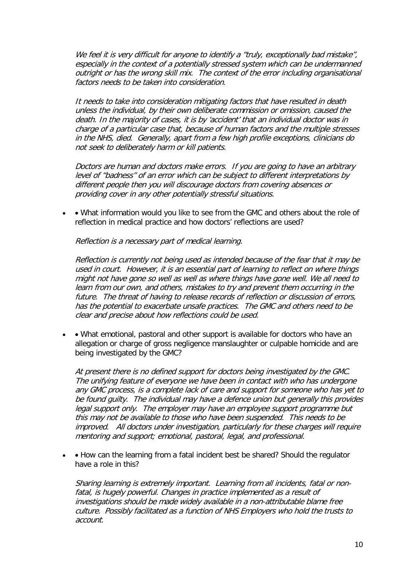We feel it is very difficult for anyone to identify a "truly, exceptionally bad mistake", especially in the context of a potentially stressed system which can be undermanned outright or has the wrong skill mix. The context of the error including organisational factors needs to be taken into consideration.

It needs to take into consideration mitigating factors that have resulted in death unless the individual, by their own deliberate commission or omission, caused the death. In the majority of cases, it is by 'accident' that an individual doctor was in charge of a particular case that, because of human factors and the multiple stresses in the NHS, died. Generally, apart from a few high profile exceptions, clinicians do not seek to deliberately harm or kill patients.

Doctors are human and doctors make errors. If you are going to have an arbitrary level of "badness" of an error which can be subject to different interpretations by different people then you will discourage doctors from covering absences or providing cover in any other potentially stressful situations.

• • What information would you like to see from the GMC and others about the role of reflection in medical practice and how doctors' reflections are used?

Reflection is a necessary part of medical learning.

Reflection is currently not being used as intended because of the fear that it may be used in court. However, it is an essential part of learning to reflect on where things might not have gone so well as well as where things have gone well. We all need to learn from our own, and others, mistakes to try and prevent them occurring in the future. The threat of having to release records of reflection or discussion of errors, has the potential to exacerbate unsafe practices. The GMC and others need to be clear and precise about how reflections could be used.

• • What emotional, pastoral and other support is available for doctors who have an allegation or charge of gross negligence manslaughter or culpable homicide and are being investigated by the GMC?

At present there is no defined support for doctors being investigated by the GMC. The unifying feature of everyone we have been in contact with who has undergone any GMC process, is a complete lack of care and support for someone who has yet to be found guilty. The individual may have a defence union but generally this provides legal support only. The employer may have an employee support programme but this may not be available to those who have been suspended. This needs to be improved. All doctors under investigation, particularly for these charges will require mentoring and support; emotional, pastoral, legal, and professional.

• • How can the learning from a fatal incident best be shared? Should the regulator have a role in this?

Sharing learning is extremely important. Learning from all incidents, fatal or nonfatal, is hugely powerful. Changes in practice implemented as a result of investigations should be made widely available in a non-attributable blame free culture.Possibly facilitated as a function of NHS Employers who hold the trusts to account.